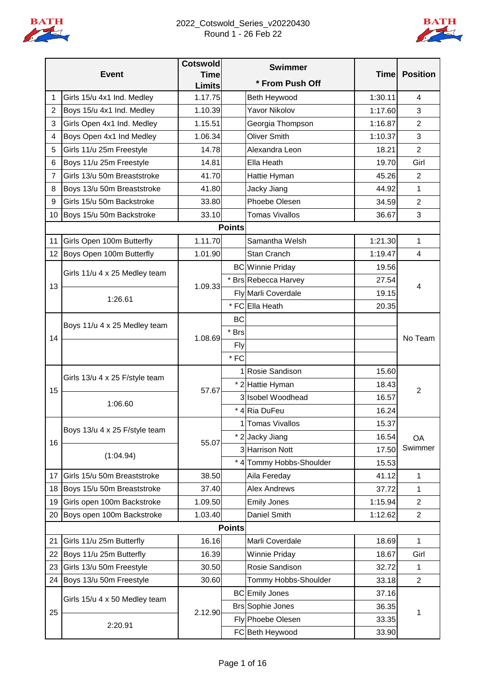

#### 2022\_Cotswold\_Series\_v20220430 Round 1 - 26 Feb 22



|                |                                | <b>Cotswold</b>              |               | <b>Swimmer</b>           | <b>Time</b> |                 |
|----------------|--------------------------------|------------------------------|---------------|--------------------------|-------------|-----------------|
|                | <b>Event</b>                   | <b>Time</b><br><b>Limits</b> |               | * From Push Off          |             | <b>Position</b> |
| 1              | Girls 15/u 4x1 Ind. Medley     | 1.17.75                      |               | Beth Heywood             | 1:30.11     | 4               |
| $\overline{2}$ | Boys 15/u 4x1 Ind. Medley      | 1.10.39                      |               | <b>Yavor Nikolov</b>     | 1:17.60     | 3               |
| 3              | Girls Open 4x1 Ind. Medley     | 1.15.51                      |               | Georgia Thompson         | 1:16.87     | $\overline{2}$  |
| 4              | Boys Open 4x1 Ind Medley       | 1.06.34                      |               | <b>Oliver Smith</b>      | 1:10.37     | 3               |
| 5              | Girls 11/u 25m Freestyle       | 14.78                        |               | Alexandra Leon           | 18.21       | $\overline{2}$  |
| 6              | Boys 11/u 25m Freestyle        | 14.81                        |               | Ella Heath               | 19.70       | Girl            |
| 7              | Girls 13/u 50m Breaststroke    | 41.70                        |               | Hattie Hyman             | 45.26       | $\overline{2}$  |
| 8              | Boys 13/u 50m Breaststroke     | 41.80                        |               | Jacky Jiang              | 44.92       | 1               |
| 9              | Girls 15/u 50m Backstroke      | 33.80                        |               | Phoebe Olesen            | 34.59       | $\overline{2}$  |
| 10             | Boys 15/u 50m Backstroke       | 33.10                        |               | <b>Tomas Vivallos</b>    | 36.67       | 3               |
|                |                                |                              | <b>Points</b> |                          |             |                 |
| 11             | Girls Open 100m Butterfly      | 1.11.70                      |               | Samantha Welsh           | 1:21.30     | 1               |
| 12             | Boys Open 100m Butterfly       | 1.01.90                      |               | Stan Cranch              | 1:19.47     | 4               |
|                | Girls 11/u 4 x 25 Medley team  |                              |               | <b>BC</b> Winnie Priday  | 19.56       |                 |
| 13             |                                | 1.09.33                      |               | * Brs Rebecca Harvey     | 27.54       |                 |
|                | 1:26.61                        |                              |               | Fly Marli Coverdale      | 19.15       | 4               |
|                |                                |                              |               | * FC Ella Heath          | 20.35       |                 |
|                | Boys 11/u 4 x 25 Medley team   |                              | <b>BC</b>     |                          |             |                 |
| 14             |                                | 1.08.69                      | * Brs         |                          |             | No Team         |
|                |                                |                              | Fly           |                          |             |                 |
|                |                                |                              | $*$ FC        |                          |             |                 |
|                | Girls 13/u 4 x 25 F/style team | 57.67                        |               | 1 Rosie Sandison         | 15.60       |                 |
| 15             |                                |                              |               | * 2 Hattie Hyman         | 18.43       | $\overline{2}$  |
|                | 1:06.60                        |                              |               | 3 Isobel Woodhead        | 16.57       |                 |
|                |                                |                              |               | * 4 Ria DuFeu            | 16.24       |                 |
|                | Boys 13/u 4 x 25 F/style team  |                              |               | 1 Tomas Vivallos         | 15.37       |                 |
| 16             |                                | 55.07                        |               | * 2 Jacky Jiang          | 16.54       | OA              |
|                | (1:04.94)                      |                              |               | 3 Harrison Nott          | 17.50       | Swimmer         |
|                |                                |                              |               | * 4 Tommy Hobbs-Shoulder | 15.53       |                 |
| 17             | Girls 15/u 50m Breaststroke    | 38.50                        |               | Aila Fereday             | 41.12       | $\mathbf 1$     |
| 18             | Boys 15/u 50m Breaststroke     | 37.40                        |               | <b>Alex Andrews</b>      | 37.72       | 1               |
| 19             | Girls open 100m Backstroke     | 1.09.50                      |               | <b>Emily Jones</b>       | 1:15.94     | $\overline{2}$  |
| 20             | Boys open 100m Backstroke      | 1.03.40                      |               | Daniel Smith             | 1:12.62     | $\overline{2}$  |
|                |                                |                              | <b>Points</b> |                          |             |                 |
| 21             | Girls 11/u 25m Butterfly       | 16.16                        |               | Marli Coverdale          | 18.69       | 1               |
| 22             | Boys 11/u 25m Butterfly        | 16.39                        |               | <b>Winnie Priday</b>     | 18.67       | Girl            |
| 23             | Girls 13/u 50m Freestyle       | 30.50                        |               | Rosie Sandison           | 32.72       | 1               |
| 24             | Boys 13/u 50m Freestyle        | 30.60                        |               | Tommy Hobbs-Shoulder     | 33.18       | $\overline{2}$  |
|                | Girls 15/u 4 x 50 Medley team  |                              |               | <b>BC</b> Emily Jones    | 37.16       | 1               |
| 25             |                                | 2.12.90                      |               | <b>Brs Sophie Jones</b>  | 36.35       |                 |
|                | 2:20.91                        |                              |               | Fly Phoebe Olesen        | 33.35       |                 |
|                |                                |                              |               | FC Beth Heywood          | 33.90       |                 |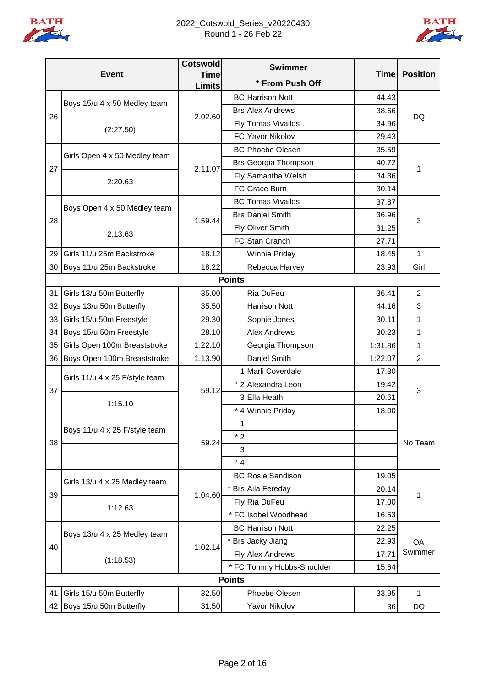

#### 2022\_Cotswold\_Series\_v20220430 Round 1 - 26 Feb 22



|    | <b>Event</b>                   | <b>Cotswold</b><br><b>Time</b> |               | <b>Swimmer</b>            | <b>Time</b> | <b>Position</b> |
|----|--------------------------------|--------------------------------|---------------|---------------------------|-------------|-----------------|
|    |                                | <b>Limits</b>                  |               | * From Push Off           |             |                 |
|    |                                |                                |               | <b>BC</b> Harrison Nott   | 44.43       |                 |
|    | Boys 15/u 4 x 50 Medley team   |                                |               | <b>Brs Alex Andrews</b>   | 38.66       |                 |
| 26 |                                | 2.02.60                        |               | Fly Tomas Vivallos        | 34.96       | DQ              |
|    | (2:27.50)                      |                                |               | <b>FC</b> Yavor Nikolov   | 29.43       |                 |
|    |                                |                                |               | <b>BC</b> Phoebe Olesen   | 35.59       |                 |
|    | Girls Open 4 x 50 Medley team  | 2.11.07                        |               | Brs Georgia Thompson      | 40.72       |                 |
| 27 |                                |                                |               | Fly Samantha Welsh        | 34.36       | 1               |
|    | 2:20.63                        |                                |               | FC Grace Burn             | 30.14       |                 |
|    |                                |                                |               | <b>BC</b> Tomas Vivallos  | 37.87       |                 |
| 28 | Boys Open 4 x 50 Medley team   | 1.59.44                        |               | <b>Brs</b> Daniel Smith   | 36.96       |                 |
|    | 2:13.63                        |                                |               | Fly Oliver Smith          | 31.25       | 3               |
|    |                                |                                |               | FC Stan Cranch            | 27.71       |                 |
| 29 | Girls 11/u 25m Backstroke      | 18.12                          |               | Winnie Priday             | 18.45       | 1               |
| 30 | Boys 11/u 25m Backstroke       | 18.22                          |               | Rebecca Harvey            | 23.93       | Girl            |
|    |                                |                                | <b>Points</b> |                           |             |                 |
| 31 | Girls 13/u 50m Butterfly       | 35.00                          |               | Ria DuFeu                 | 36.41       | 2               |
| 32 | Boys 13/u 50m Butterfly        | 35.50                          |               | <b>Harrison Nott</b>      | 44.16       | 3               |
| 33 | Girls 15/u 50m Freestyle       | 29.30                          |               | Sophie Jones              | 30.11       | 1               |
| 34 | Boys 15/u 50m Freestyle        | 28.10                          |               | <b>Alex Andrews</b>       | 30.23       | 1               |
| 35 | Girls Open 100m Breaststroke   | 1.22.10                        |               | Georgia Thompson          | 1:31.86     | 1               |
| 36 | Boys Open 100m Breaststroke    | 1.13.90                        |               | Daniel Smith              | 1:22.07     | $\overline{2}$  |
|    | Girls 11/u 4 x 25 F/style team |                                |               | 1 Marli Coverdale         | 17.30       |                 |
| 37 |                                | 59.12                          |               | * 2 Alexandra Leon        | 19.42       | 3               |
|    | 1:15.10                        |                                |               | 3 Ella Heath              | 20.61       |                 |
|    |                                |                                |               | * 4 Winnie Priday         | 18.00       |                 |
|    | Boys 11/u 4 x 25 F/style team  |                                | 1             |                           |             |                 |
| 38 |                                | 59.24                          | * 2           |                           |             | No Team         |
|    |                                |                                | 3             |                           |             |                 |
|    |                                |                                | $*4$          |                           |             |                 |
|    | Girls 13/u 4 x 25 Medley team  |                                |               | <b>BC</b> Rosie Sandison  | 19.05       |                 |
| 39 |                                | 1.04.60                        |               | * Brs Aila Fereday        | 20.14       | 1               |
|    | 1:12.63                        |                                |               | Fly Ria DuFeu             | 17.00       |                 |
|    |                                |                                |               | * FC Isobel Woodhead      | 16.53       |                 |
|    | Boys 13/u 4 x 25 Medley team   |                                |               | <b>BC</b> Harrison Nott   | 22.25       |                 |
| 40 |                                | 1.02.14                        |               | * Brs Jacky Jiang         | 22.93       | <b>OA</b>       |
|    |                                |                                |               | <b>Fly Alex Andrews</b>   | 17.71       | Swimmer         |
|    | (1:18.53)                      |                                |               | * FC Tommy Hobbs-Shoulder | 15.64       |                 |
|    |                                |                                |               |                           |             |                 |
| 41 | Girls 15/u 50m Butterfly       | 32.50                          |               | Phoebe Olesen             | 33.95       | 1               |
| 42 | Boys 15/u 50m Butterfly        | 31.50                          |               | <b>Yavor Nikolov</b>      | 36          | DQ              |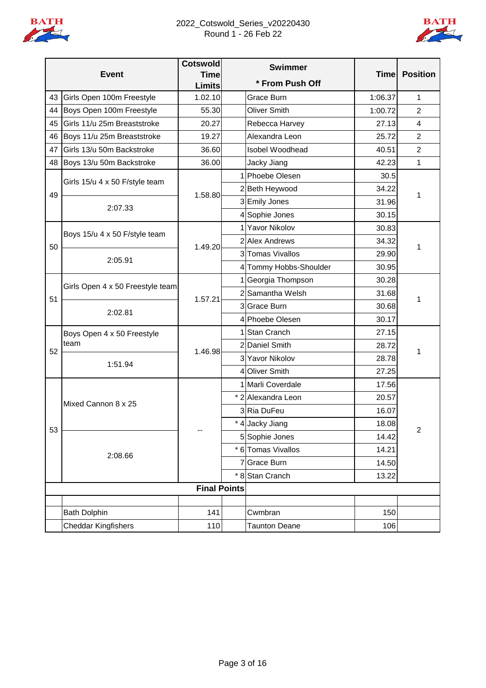

## 2022\_Cotswold\_Series\_v20220430 Round 1 - 26 Feb 22



|    |                                  | <b>Cotswold</b>              | <b>Swimmer</b>         |             |                         |
|----|----------------------------------|------------------------------|------------------------|-------------|-------------------------|
|    | <b>Event</b>                     | <b>Time</b><br><b>Limits</b> | * From Push Off        | <b>Time</b> | <b>Position</b>         |
| 43 | Girls Open 100m Freestyle        | 1.02.10                      | Grace Burn             | 1:06.37     | 1                       |
| 44 | Boys Open 100m Freestyle         | 55.30                        | <b>Oliver Smith</b>    | 1:00.72     | $\overline{c}$          |
| 45 | Girls 11/u 25m Breaststroke      | 20.27                        | Rebecca Harvey         | 27.13       | $\overline{\mathbf{4}}$ |
| 46 | Boys 11/u 25m Breaststroke       | 19.27                        | Alexandra Leon         | 25.72       | $\overline{c}$          |
| 47 | Girls 13/u 50m Backstroke        | 36.60                        | Isobel Woodhead        | 40.51       | $\overline{2}$          |
| 48 | Boys 13/u 50m Backstroke         | 36.00                        | Jacky Jiang            | 42.23       | 1                       |
|    |                                  |                              | 1 Phoebe Olesen        | 30.5        |                         |
| 49 | Girls 15/u 4 x 50 F/style team   | 1.58.80                      | 2Beth Heywood          | 34.22       | 1                       |
|    | 2:07.33                          |                              | 3 Emily Jones          | 31.96       |                         |
|    |                                  |                              | 4 Sophie Jones         | 30.15       |                         |
|    | Boys 15/u 4 x 50 F/style team    |                              | 1 Yavor Nikolov        | 30.83       |                         |
| 50 |                                  | 1.49.20                      | 2 Alex Andrews         | 34.32       | 1                       |
|    | 2:05.91                          |                              | 3 Tomas Vivallos       | 29.90       |                         |
|    |                                  |                              | 4 Tommy Hobbs-Shoulder | 30.95       |                         |
|    | Girls Open 4 x 50 Freestyle team |                              | 1 Georgia Thompson     | 30.28       |                         |
| 51 |                                  | 1.57.21                      | 2 Samantha Welsh       | 31.68       | 1                       |
|    | 2:02.81                          |                              | 3 Grace Burn           | 30.68       |                         |
|    |                                  |                              | 4 Phoebe Olesen        | 30.17       |                         |
|    | Boys Open 4 x 50 Freestyle       |                              | 1 Stan Cranch          | 27.15       | 1                       |
| 52 | team                             | 1.46.98                      | 2 Daniel Smith         | 28.72       |                         |
|    | 1:51.94                          |                              | 3 Yavor Nikolov        | 28.78       |                         |
|    |                                  |                              | 4 Oliver Smith         | 27.25       |                         |
|    |                                  |                              | 1 Marli Coverdale      | 17.56       |                         |
|    | Mixed Cannon 8 x 25              |                              | * 2 Alexandra Leon     | 20.57       |                         |
|    |                                  |                              | 3 Ria DuFeu            | 16.07       |                         |
| 53 |                                  | --                           | * 4 Jacky Jiang        | 18.08       | $\overline{2}$          |
|    |                                  |                              | 5 Sophie Jones         | 14.42       |                         |
|    | 2:08.66                          |                              | * 6 Tomas Vivallos     | 14.21       |                         |
|    |                                  |                              | 7 Grace Burn           | 14.50       |                         |
|    |                                  |                              | * 8 Stan Cranch        | 13.22       |                         |
|    |                                  | <b>Final Points</b>          |                        |             |                         |
|    |                                  |                              |                        |             |                         |
|    | <b>Bath Dolphin</b>              | 141                          | Cwmbran                | 150         |                         |
|    | Cheddar Kingfishers              | 110                          | <b>Taunton Deane</b>   | 106         |                         |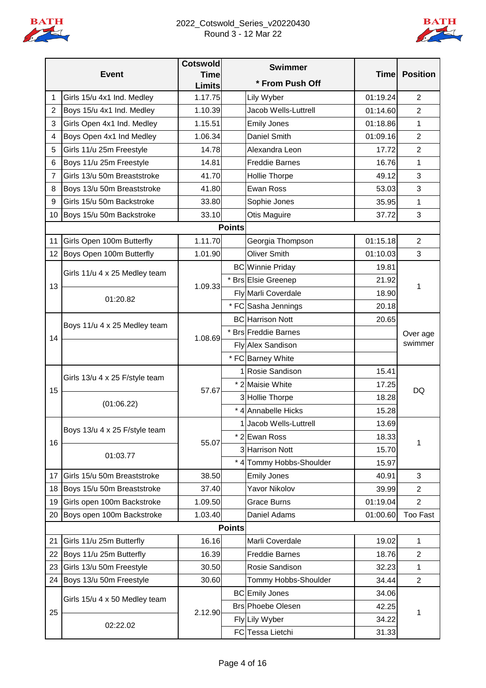

#### 2022\_Cotswold\_Series\_v20220430 Round 3 - 12 Mar 22



|                |                                              | <b>Cotswold</b>              |               | <b>Swimmer</b>           |             |                 |
|----------------|----------------------------------------------|------------------------------|---------------|--------------------------|-------------|-----------------|
|                | <b>Event</b>                                 | <b>Time</b><br><b>Limits</b> |               | * From Push Off          | <b>Time</b> | <b>Position</b> |
| 1              | Girls 15/u 4x1 Ind. Medley                   | 1.17.75                      |               | Lily Wyber               | 01:19.24    | $\overline{2}$  |
| $\overline{2}$ | Boys 15/u 4x1 Ind. Medley                    | 1.10.39                      |               | Jacob Wells-Luttrell     | 01:14.60    | $\overline{2}$  |
| 3              | Girls Open 4x1 Ind. Medley                   | 1.15.51                      |               | <b>Emily Jones</b>       | 01:18.86    | 1               |
| 4              | Boys Open 4x1 Ind Medley                     | 1.06.34                      |               | Daniel Smith             | 01:09.16    | $\overline{c}$  |
| 5              | Girls 11/u 25m Freestyle                     | 14.78                        |               | Alexandra Leon           | 17.72       | $\overline{c}$  |
| 6              | Boys 11/u 25m Freestyle                      | 14.81                        |               | <b>Freddie Barnes</b>    | 16.76       | 1               |
| $\overline{7}$ | Girls 13/u 50m Breaststroke                  | 41.70                        |               | Hollie Thorpe            | 49.12       | 3               |
| 8              | Boys 13/u 50m Breaststroke                   | 41.80                        |               | Ewan Ross                | 53.03       | 3               |
| 9              | Girls 15/u 50m Backstroke                    | 33.80                        |               | Sophie Jones             | 35.95       | 1               |
| 10             | Boys 15/u 50m Backstroke                     | 33.10                        |               | Otis Maguire             | 37.72       | 3               |
|                |                                              |                              | <b>Points</b> |                          |             |                 |
| 11             | Girls Open 100m Butterfly                    | 1.11.70                      |               | Georgia Thompson         | 01:15.18    | $\overline{2}$  |
| 12             | Boys Open 100m Butterfly                     | 1.01.90                      |               | <b>Oliver Smith</b>      | 01:10.03    | 3               |
|                | Girls 11/u 4 x 25 Medley team                |                              |               | <b>BC</b> Winnie Priday  | 19.81       |                 |
| 13             |                                              | 1.09.33                      |               | * Brs Elsie Greenep      | 21.92       | 1               |
|                | 01:20.82                                     |                              |               | Fly Marli Coverdale      | 18.90       |                 |
|                |                                              |                              |               | * FC Sasha Jennings      | 20.18       |                 |
|                | Boys 11/u 4 x 25 Medley team                 |                              |               | <b>BC</b> Harrison Nott  | 20.65       |                 |
| 14             |                                              | 1.08.69                      |               | * Brs Freddie Barnes     |             | Over age        |
|                |                                              |                              |               | Fly Alex Sandison        |             | swimmer         |
|                |                                              |                              |               | * FC Barney White        |             |                 |
|                | Girls 13/u 4 x 25 F/style team<br>(01:06.22) | 57.67                        |               | 1 Rosie Sandison         | 15.41       |                 |
| 15             |                                              |                              |               | * 2 Maisie White         | 17.25       | DQ              |
|                |                                              |                              |               | 3 Hollie Thorpe          | 18.28       |                 |
|                |                                              |                              |               | * 4 Annabelle Hicks      | 15.28       |                 |
|                | Boys 13/u 4 x 25 F/style team                |                              |               | 1 Jacob Wells-Luttrell   | 13.69       |                 |
| 16             |                                              | 55.07                        |               | * 2 Ewan Ross            | 18.33       | 1               |
|                | 01:03.77                                     |                              |               | 3 Harrison Nott          | 15.70       |                 |
|                |                                              |                              |               | * 4 Tommy Hobbs-Shoulder | 15.97       |                 |
| 17             | Girls 15/u 50m Breaststroke                  | 38.50                        |               | <b>Emily Jones</b>       | 40.91       | 3               |
| 18             | Boys 15/u 50m Breaststroke                   | 37.40                        |               | <b>Yavor Nikolov</b>     | 39.99       | $\overline{2}$  |
| 19             | Girls open 100m Backstroke                   | 1.09.50                      |               | <b>Grace Burns</b>       | 01:19.04    | $\overline{2}$  |
| 20             | Boys open 100m Backstroke                    | 1.03.40                      |               | Daniel Adams             | 01:00.60    | <b>Too Fast</b> |
|                |                                              |                              | <b>Points</b> |                          |             |                 |
| 21             | Girls 11/u 25m Butterfly                     | 16.16                        |               | Marli Coverdale          | 19.02       | 1               |
| 22             | Boys 11/u 25m Butterfly                      | 16.39                        |               | <b>Freddie Barnes</b>    | 18.76       | $\overline{2}$  |
| 23             | Girls 13/u 50m Freestyle                     | 30.50                        |               | Rosie Sandison           | 32.23       | 1               |
| 24             | Boys 13/u 50m Freestyle                      | 30.60                        |               | Tommy Hobbs-Shoulder     | 34.44       | $\overline{2}$  |
|                | Girls 15/u 4 x 50 Medley team                |                              |               | <b>BC</b> Emily Jones    | 34.06       | 1               |
| 25             |                                              | 2.12.90                      |               | <b>Brs Phoebe Olesen</b> | 42.25       |                 |
|                | 02:22.02                                     |                              |               | Fly Lily Wyber           | 34.22       |                 |
|                |                                              |                              |               | FC Tessa Lietchi         | 31.33       |                 |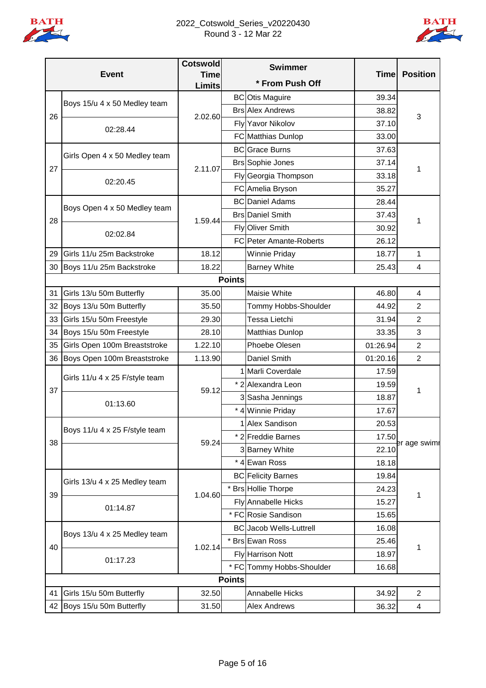

#### 2022\_Cotswold\_Series\_v20220430 Round 3 - 12 Mar 22



|    |                                | <b>Cotswold</b>              |               | <b>Swimmer</b>                 |             |                 |
|----|--------------------------------|------------------------------|---------------|--------------------------------|-------------|-----------------|
|    | <b>Event</b>                   | <b>Time</b><br><b>Limits</b> |               | * From Push Off                | <b>Time</b> | <b>Position</b> |
|    |                                |                              |               | <b>BC</b> Otis Maguire         | 39.34       |                 |
|    | Boys 15/u 4 x 50 Medley team   |                              |               | <b>Brs Alex Andrews</b>        | 38.82       |                 |
| 26 |                                | 2.02.60                      |               | Fly Yavor Nikolov              | 37.10       | 3               |
|    | 02:28.44                       |                              |               | FC Matthias Dunlop             | 33.00       |                 |
|    |                                |                              |               | <b>BC</b> Grace Burns          | 37.63       |                 |
|    | Girls Open 4 x 50 Medley team  |                              |               | <b>Brs Sophie Jones</b>        | 37.14       |                 |
| 27 |                                | 2.11.07                      |               | Fly Georgia Thompson           | 33.18       | 1               |
|    | 02:20.45                       |                              |               | FC Amelia Bryson               | 35.27       |                 |
|    | Boys Open 4 x 50 Medley team   |                              |               | <b>BC</b> Daniel Adams         | 28.44       |                 |
|    |                                |                              |               | <b>Brs</b> Daniel Smith        | 37.43       |                 |
| 28 |                                | 1.59.44                      |               | Fly Oliver Smith               | 30.92       | 1               |
|    | 02:02.84                       |                              |               | FC Peter Amante-Roberts        | 26.12       |                 |
| 29 | Girls 11/u 25m Backstroke      | 18.12                        |               | <b>Winnie Priday</b>           | 18.77       | 1               |
| 30 | Boys 11/u 25m Backstroke       | 18.22                        |               | <b>Barney White</b>            | 25.43       | 4               |
|    |                                |                              | <b>Points</b> |                                |             |                 |
| 31 | Girls 13/u 50m Butterfly       | 35.00                        |               | Maisie White                   | 46.80       | 4               |
| 32 | Boys 13/u 50m Butterfly        | 35.50                        |               | Tommy Hobbs-Shoulder           | 44.92       | $\overline{2}$  |
| 33 | Girls 15/u 50m Freestyle       | 29.30                        |               | Tessa Lietchi                  | 31.94       | $\overline{2}$  |
| 34 | Boys 15/u 50m Freestyle        | 28.10                        |               | Matthias Dunlop                | 33.35       | 3               |
| 35 | Girls Open 100m Breaststroke   | 1.22.10                      |               | Phoebe Olesen                  | 01:26.94    | $\overline{2}$  |
| 36 | Boys Open 100m Breaststroke    | 1.13.90                      |               | Daniel Smith                   | 01:20.16    | $\overline{2}$  |
|    |                                | 59.12<br>01:13.60            |               | 1 Marli Coverdale              | 17.59       |                 |
|    | Girls 11/u 4 x 25 F/style team |                              |               | * 2 Alexandra Leon             | 19.59       | 1               |
| 37 |                                |                              |               | 3 Sasha Jennings               | 18.87       |                 |
|    |                                |                              |               | * 4 Winnie Priday              | 17.67       |                 |
|    |                                |                              |               | 1 Alex Sandison                | 20.53       |                 |
|    | Boys 11/u 4 x 25 F/style team  |                              |               | * 2 Freddie Barnes             | 17.50       |                 |
| 38 |                                | 59.24                        |               | 3 Barney White                 | 22.10       | er age swimr    |
|    |                                |                              |               | * 4 Ewan Ross                  | 18.18       |                 |
|    |                                |                              |               | <b>BC</b> Felicity Barnes      | 19.84       |                 |
|    | Girls 13/u 4 x 25 Medley team  |                              |               | * Brs Hollie Thorpe            | 24.23       |                 |
| 39 |                                | 1.04.60                      |               | Fly Annabelle Hicks            | 15.27       | 1               |
|    | 01:14.87                       |                              |               | * FC Rosie Sandison            | 15.65       |                 |
|    |                                |                              |               | <b>BC</b> Jacob Wells-Luttrell | 16.08       |                 |
|    | Boys 13/u 4 x 25 Medley team   |                              |               | * Brs Ewan Ross                | 25.46       |                 |
| 40 |                                | 1.02.14                      |               | Fly Harrison Nott              | 18.97       | 1               |
|    | 01:17.23                       |                              |               | * FC Tommy Hobbs-Shoulder      | 16.68       |                 |
|    |                                |                              | <b>Points</b> |                                |             |                 |
| 41 | Girls 15/u 50m Butterfly       | 32.50                        |               | Annabelle Hicks                | 34.92       | 2               |
|    | 42 Boys 15/u 50m Butterfly     | 31.50                        |               | <b>Alex Andrews</b>            | 36.32       | 4               |
|    |                                |                              |               |                                |             |                 |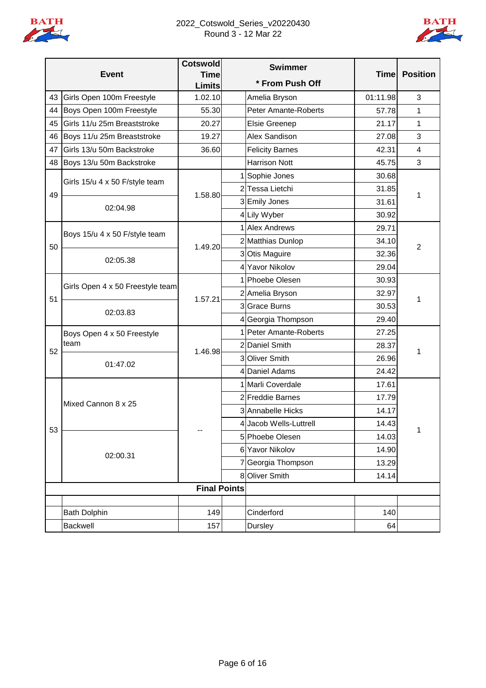

## 2022\_Cotswold\_Series\_v20220430 Round 3 - 12 Mar 22



|    |                                    | <b>Cotswold</b>              | <b>Swimmer</b>              |             |                 |
|----|------------------------------------|------------------------------|-----------------------------|-------------|-----------------|
|    | <b>Event</b>                       | <b>Time</b><br><b>Limits</b> | * From Push Off             | <b>Time</b> | <b>Position</b> |
| 43 | Girls Open 100m Freestyle          | 1.02.10                      | Amelia Bryson               | 01:11.98    | 3               |
| 44 | Boys Open 100m Freestyle           | 55.30                        | <b>Peter Amante-Roberts</b> | 57.78       | 1               |
| 45 | Girls 11/u 25m Breaststroke        | 20.27                        | Elsie Greenep               | 21.17       | 1               |
| 46 | Boys 11/u 25m Breaststroke         | 19.27                        | Alex Sandison               | 27.08       | 3               |
| 47 | Girls 13/u 50m Backstroke          | 36.60                        | <b>Felicity Barnes</b>      | 42.31       | $\overline{4}$  |
| 48 | Boys 13/u 50m Backstroke           |                              | <b>Harrison Nott</b>        | 45.75       | 3               |
|    |                                    |                              | Sophie Jones                | 30.68       |                 |
| 49 | Girls 15/u 4 x 50 F/style team     | 1.58.80                      | 2 Tessa Lietchi             | 31.85       | 1               |
|    | 02:04.98                           |                              | 3 Emily Jones               | 31.61       |                 |
|    |                                    |                              | 4 Lily Wyber                | 30.92       |                 |
|    | Boys 15/u 4 x 50 F/style team      |                              | 1 Alex Andrews              | 29.71       |                 |
| 50 |                                    | 1.49.20                      | 2 Matthias Dunlop           | 34.10       | 2               |
|    | 02:05.38                           |                              | 3 Otis Maguire              | 32.36       |                 |
|    |                                    |                              | 4 Yavor Nikolov             | 29.04       |                 |
|    | Girls Open 4 x 50 Freestyle team   |                              | 1 Phoebe Olesen             | 30.93       |                 |
| 51 |                                    | 1.57.21                      | 2 Amelia Bryson             | 32.97       | 1               |
|    | 02:03.83                           |                              | 3 Grace Burns               | 30.53       |                 |
|    |                                    |                              | 4 Georgia Thompson          | 29.40       |                 |
|    | Boys Open 4 x 50 Freestyle<br>team | 1.46.98                      | 1 Peter Amante-Roberts      | 27.25       | 1               |
| 52 |                                    |                              | 2 Daniel Smith              | 28.37       |                 |
|    | 01:47.02                           |                              | 3 Oliver Smith              | 26.96       |                 |
|    |                                    |                              | 4 Daniel Adams              | 24.42       |                 |
|    |                                    |                              | 1 Marli Coverdale           | 17.61       |                 |
|    | Mixed Cannon 8 x 25                |                              | 2 Freddie Barnes            | 17.79       |                 |
|    |                                    |                              | 3 Annabelle Hicks           | 14.17       |                 |
| 53 |                                    |                              | 4 Jacob Wells-Luttrell      | 14.43       | 1               |
|    |                                    |                              | 5 Phoebe Olesen             | 14.03       |                 |
|    | 02:00.31                           |                              | 6 Yavor Nikolov             | 14.90       |                 |
|    |                                    |                              | 7 Georgia Thompson          | 13.29       |                 |
|    |                                    |                              | 8 Oliver Smith              | 14.14       |                 |
|    |                                    | <b>Final Points</b>          |                             |             |                 |
|    |                                    |                              |                             |             |                 |
|    | <b>Bath Dolphin</b>                | 149                          | Cinderford                  | 140         |                 |
|    | Backwell                           | 157                          | Dursley                     | 64          |                 |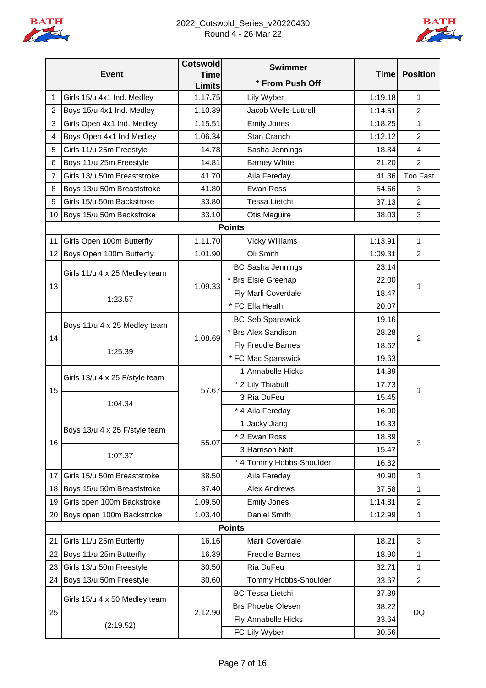

## 2022\_Cotswold\_Series\_v20220430 Round 4 - 26 Mar 22



|                | <b>Event</b>                              | <b>Cotswold</b><br><b>Time</b> | <b>Swimmer</b> |                          | <b>Time</b> | <b>Position</b> |  |
|----------------|-------------------------------------------|--------------------------------|----------------|--------------------------|-------------|-----------------|--|
|                |                                           | <b>Limits</b>                  |                | * From Push Off          |             |                 |  |
| 1              | Girls 15/u 4x1 Ind. Medley                | 1.17.75                        |                | Lily Wyber               | 1:19.18     | 1               |  |
| $\overline{2}$ | Boys 15/u 4x1 Ind. Medley                 | 1.10.39                        |                | Jacob Wells-Luttrell     | 1:14.51     | $\overline{2}$  |  |
| 3              | Girls Open 4x1 Ind. Medley                | 1.15.51                        |                | <b>Emily Jones</b>       | 1:18.25     | 1               |  |
| 4              | Boys Open 4x1 Ind Medley                  | 1.06.34                        |                | Stan Cranch              | 1:12.12     | $\overline{2}$  |  |
| 5              | Girls 11/u 25m Freestyle                  | 14.78                          |                | Sasha Jennings           | 18.84       | $\overline{4}$  |  |
| 6              | Boys 11/u 25m Freestyle                   | 14.81                          |                | <b>Barney White</b>      | 21.20       | $\overline{2}$  |  |
| 7              | Girls 13/u 50m Breaststroke               | 41.70                          |                | Aila Fereday             | 41.36       | <b>Too Fast</b> |  |
| 8              | Boys 13/u 50m Breaststroke                | 41.80                          |                | Ewan Ross                | 54.66       | 3               |  |
| 9              | Girls 15/u 50m Backstroke                 | 33.80                          |                | <b>Tessa Lietchi</b>     | 37.13       | $\overline{2}$  |  |
| 10             | Boys 15/u 50m Backstroke                  | 33.10                          |                | Otis Maguire             | 38.03       | 3               |  |
|                |                                           |                                | <b>Points</b>  |                          |             |                 |  |
| 11             | Girls Open 100m Butterfly                 | 1.11.70                        |                | <b>Vicky Williams</b>    | 1:13.91     | 1               |  |
| 12             | Boys Open 100m Butterfly                  | 1.01.90                        |                | Oli Smith                | 1:09.31     | $\overline{2}$  |  |
|                | Girls 11/u 4 x 25 Medley team             |                                |                | BC Sasha Jennings        | 23.14       |                 |  |
| 13             |                                           | 1.09.33                        |                | * Brs Elsie Greenap      | 22.00       | 1               |  |
|                | 1:23.57                                   |                                |                | Fly Marli Coverdale      | 18.47       |                 |  |
|                |                                           |                                |                | * FC Ella Heath          | 20.07       |                 |  |
|                |                                           |                                |                | <b>BC</b> Seb Spanswick  | 19.16       |                 |  |
| 14             | Boys 11/u 4 x 25 Medley team              | 1.08.69                        |                | * Brs Alex Sandison      | 28.28       |                 |  |
|                |                                           |                                |                | Fly Freddie Barnes       | 18.62       | 2               |  |
|                | 1:25.39                                   |                                |                | * FC Mac Spanswick       | 19.63       |                 |  |
|                | Girls 13/u 4 x 25 F/style team<br>1:04.34 |                                |                | 1 Annabelle Hicks        | 14.39       |                 |  |
|                |                                           | 57.67                          |                | * 2 Lily Thiabult        | 17.73       |                 |  |
| 15             |                                           |                                |                | 3Ria DuFeu               | 15.45       | 1               |  |
|                |                                           |                                |                | * 4 Aila Fereday         | 16.90       |                 |  |
|                |                                           |                                |                | 1 Jacky Jiang            | 16.33       |                 |  |
|                | Boys 13/u 4 x 25 F/style team             |                                |                | * 2 Ewan Ross            | 18.89       | 3               |  |
| 16             |                                           | 55.07                          |                | 3 Harrison Nott          | 15.47       |                 |  |
|                | 1:07.37                                   |                                |                | * 4 Tommy Hobbs-Shoulder | 16.82       |                 |  |
| 17             | Girls 15/u 50m Breaststroke               | 38.50                          |                | Aila Fereday             | 40.90       | 1               |  |
| 18             | Boys 15/u 50m Breaststroke                | 37.40                          |                | <b>Alex Andrews</b>      | 37.58       | 1               |  |
| 19             | Girls open 100m Backstroke                | 1.09.50                        |                | <b>Emily Jones</b>       | 1:14.81     | $\overline{2}$  |  |
| 20             | Boys open 100m Backstroke                 | 1.03.40                        |                | Daniel Smith             | 1:12.99     | 1               |  |
|                |                                           |                                | <b>Points</b>  |                          |             |                 |  |
| 21             | Girls 11/u 25m Butterfly                  | 16.16                          |                | Marli Coverdale          | 18.21       | 3               |  |
| 22             | Boys 11/u 25m Butterfly                   | 16.39                          |                | <b>Freddie Barnes</b>    | 18.90       | 1               |  |
| 23             | Girls 13/u 50m Freestyle                  | 30.50                          |                | Ria DuFeu                | 32.71       | 1               |  |
| 24             | Boys 13/u 50m Freestyle                   | 30.60                          |                | Tommy Hobbs-Shoulder     | 33.67       | $\overline{2}$  |  |
|                |                                           |                                |                | <b>BC</b> Tessa Lietchi  | 37.39       |                 |  |
|                | Girls 15/u 4 x 50 Medley team             |                                |                | <b>Brs Phoebe Olesen</b> | 38.22       | DQ              |  |
| 25             | (2:19.52)                                 | 2.12.90                        |                | Fly Annabelle Hicks      | 33.64       |                 |  |
|                |                                           |                                |                | FC Lily Wyber            | 30.56       |                 |  |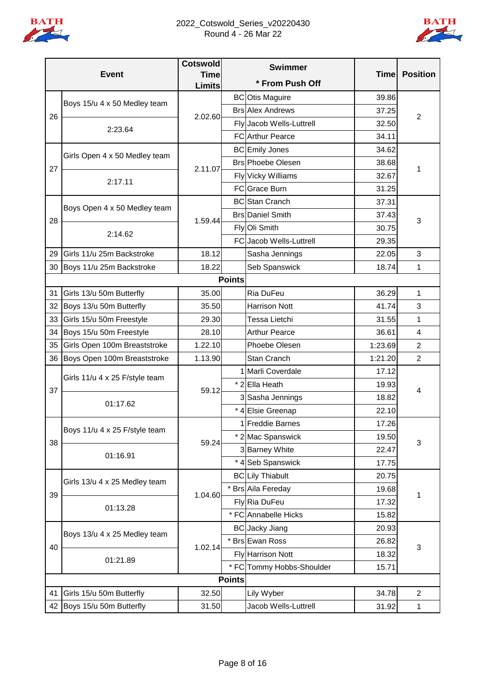

## 2022\_Cotswold\_Series\_v20220430 Round 4 - 26 Mar 22



|    | <b>Event</b>                   | <b>Cotswold</b><br><b>Time</b> |               | <b>Swimmer</b>            | <b>Time</b> | <b>Position</b> |
|----|--------------------------------|--------------------------------|---------------|---------------------------|-------------|-----------------|
|    |                                | <b>Limits</b>                  |               | * From Push Off           |             |                 |
|    | Boys 15/u 4 x 50 Medley team   |                                |               | <b>BC</b> Otis Maguire    | 39.86       |                 |
| 26 |                                | 2.02.60                        |               | <b>Brs Alex Andrews</b>   | 37.25       | 2               |
|    | 2:23.64                        |                                |               | Fly Jacob Wells-Luttrell  | 32.50       |                 |
|    |                                |                                |               | <b>FC</b> Arthur Pearce   | 34.11       |                 |
|    | Girls Open 4 x 50 Medley team  |                                |               | <b>BC</b> Emily Jones     | 34.62       |                 |
| 27 |                                | 2.11.07                        |               | <b>Brs</b> Phoebe Olesen  | 38.68       |                 |
|    |                                |                                |               | Fly Vicky Williams        | 32.67       | 1               |
|    | 2:17.11                        |                                |               | FC Grace Burn             | 31.25       |                 |
|    |                                |                                |               | <b>BC</b> Stan Cranch     | 37.31       |                 |
|    | Boys Open 4 x 50 Medley team   |                                |               | <b>Brs</b> Daniel Smith   | 37.43       |                 |
| 28 | 2:14.62                        | 1.59.44                        |               | Fly Oli Smith             | 30.75       | 3               |
|    |                                |                                |               | FC Jacob Wells-Luttrell   | 29.35       |                 |
| 29 | Girls 11/u 25m Backstroke      | 18.12                          |               | Sasha Jennings            | 22.05       | 3               |
| 30 | Boys 11/u 25m Backstroke       | 18.22                          |               | Seb Spanswick             | 18.74       | 1               |
|    |                                |                                | <b>Points</b> |                           |             |                 |
| 31 | Girls 13/u 50m Butterfly       | 35.00                          |               | Ria DuFeu                 | 36.29       | 1               |
| 32 | Boys 13/u 50m Butterfly        | 35.50                          |               | <b>Harrison Nott</b>      | 41.74       | 3               |
| 33 | Girls 15/u 50m Freestyle       | 29.30                          |               | Tessa Lietchi             | 31.55       | 1               |
| 34 | Boys 15/u 50m Freestyle        | 28.10                          |               | <b>Arthur Pearce</b>      | 36.61       | 4               |
| 35 | Girls Open 100m Breaststroke   | 1.22.10                        |               | Phoebe Olesen             | 1:23.69     | 2               |
| 36 | Boys Open 100m Breaststroke    | 1.13.90                        |               | Stan Cranch               | 1:21.20     | $\overline{2}$  |
|    | Girls 11/u 4 x 25 F/style team |                                |               | 1 Marli Coverdale         | 17.12       |                 |
| 37 |                                |                                |               | * 2 Ella Heath            | 19.93       | 4               |
|    | 01:17.62                       | 59.12                          |               | 3 Sasha Jennings          | 18.82       |                 |
|    |                                |                                |               | * 4 Elsie Greenap         | 22.10       |                 |
|    | Boys 11/u 4 x 25 F/style team  |                                |               | 1 Freddie Barnes          | 17.26       |                 |
| 38 |                                | 59.24                          |               | * 2 Mac Spanswick         | 19.50       |                 |
|    |                                |                                |               | 3 Barney White            | 22.47       | 3               |
|    | 01:16.91                       |                                |               | * 4 Seb Spanswick         | 17.75       |                 |
|    |                                |                                |               | <b>BC</b> Lily Thiabult   | 20.75       |                 |
| 39 | Girls 13/u 4 x 25 Medley team  | 1.04.60                        |               | * Brs Aila Fereday        | 19.68       | 1               |
|    | 01:13.28                       |                                |               | Fly Ria DuFeu             | 17.32       |                 |
|    |                                |                                |               | * FC Annabelle Hicks      | 15.82       |                 |
|    |                                |                                |               | <b>BC</b> Jacky Jiang     | 20.93       |                 |
| 40 | Boys 13/u 4 x 25 Medley team   | 1.02.14                        |               | * Brs Ewan Ross           | 26.82       |                 |
|    |                                |                                |               | Fly Harrison Nott         | 18.32       | 3               |
|    | 01:21.89                       |                                |               | * FC Tommy Hobbs-Shoulder | 15.71       |                 |
|    | <b>Points</b>                  |                                |               |                           |             |                 |
| 41 | Girls 15/u 50m Butterfly       | 32.50                          |               | Lily Wyber                | 34.78       | 2               |
|    | 42 Boys 15/u 50m Butterfly     | 31.50                          |               | Jacob Wells-Luttrell      | 31.92       | 1               |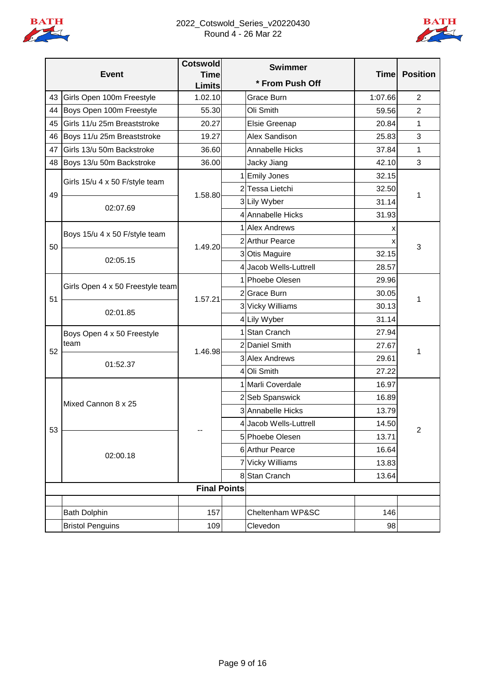

## 2022\_Cotswold\_Series\_v20220430 Round 4 - 26 Mar 22



|    |                                  | <b>Cotswold</b>              | <b>Swimmer</b>         |             |                 |
|----|----------------------------------|------------------------------|------------------------|-------------|-----------------|
|    | <b>Event</b>                     | <b>Time</b><br><b>Limits</b> | * From Push Off        | <b>Time</b> | <b>Position</b> |
| 43 | Girls Open 100m Freestyle        | 1.02.10                      | Grace Burn             | 1:07.66     | $\overline{2}$  |
| 44 | Boys Open 100m Freestyle         | 55.30                        | Oli Smith              | 59.56       | $\overline{2}$  |
| 45 | Girls 11/u 25m Breaststroke      | 20.27                        | Elsie Greenap          | 20.84       | 1               |
| 46 | Boys 11/u 25m Breaststroke       | 19.27                        | Alex Sandison          | 25.83       | 3               |
| 47 | Girls 13/u 50m Backstroke        | 36.60                        | Annabelle Hicks        | 37.84       | 1               |
| 48 | Boys 13/u 50m Backstroke         | 36.00                        | Jacky Jiang            | 42.10       | 3               |
|    |                                  |                              | 1 Emily Jones          | 32.15       |                 |
| 49 | Girls 15/u 4 x 50 F/style team   | 1.58.80                      | 2 Tessa Lietchi        | 32.50       | 1               |
|    | 02:07.69                         |                              | 3 Lily Wyber           | 31.14       |                 |
|    |                                  |                              | 4 Annabelle Hicks      | 31.93       |                 |
|    | Boys 15/u 4 x 50 F/style team    |                              | 1 Alex Andrews         | х           |                 |
| 50 |                                  | 1.49.20                      | 2 Arthur Pearce        |             | 3               |
|    | 02:05.15                         |                              | 3 Otis Maguire         | 32.15       |                 |
|    |                                  |                              | 4 Jacob Wells-Luttrell | 28.57       |                 |
|    | Girls Open 4 x 50 Freestyle team |                              | 1 Phoebe Olesen        | 29.96       |                 |
| 51 |                                  | 1.57.21                      | 2Grace Burn            | 30.05       | 1               |
|    | 02:01.85                         |                              | 3 Vicky Williams       | 30.13       |                 |
|    |                                  |                              | 4 Lily Wyber           | 31.14       |                 |
|    | Boys Open 4 x 50 Freestyle       |                              | 1 Stan Cranch          | 27.94       | 1               |
| 52 | team                             | 1.46.98                      | 2 Daniel Smith         | 27.67       |                 |
|    | 01:52.37                         |                              | 3 Alex Andrews         | 29.61       |                 |
|    |                                  |                              | 4 Oli Smith            | 27.22       |                 |
|    |                                  |                              | 1 Marli Coverdale      | 16.97       |                 |
|    | Mixed Cannon 8 x 25              |                              | 2 Seb Spanswick        | 16.89       |                 |
|    |                                  |                              | 3 Annabelle Hicks      | 13.79       |                 |
| 53 |                                  |                              | 4 Jacob Wells-Luttrell | 14.50       | $\overline{2}$  |
|    |                                  |                              | 5 Phoebe Olesen        | 13.71       |                 |
|    | 02:00.18                         |                              | 6 Arthur Pearce        | 16.64       |                 |
|    |                                  |                              | 7 Vicky Williams       | 13.83       |                 |
|    |                                  |                              | 8 Stan Cranch          | 13.64       |                 |
|    |                                  | <b>Final Points</b>          |                        |             |                 |
|    |                                  |                              |                        |             |                 |
|    | <b>Bath Dolphin</b>              | 157                          | Cheltenham WP&SC       | 146         |                 |
|    | <b>Bristol Penguins</b>          | 109                          | Clevedon               | 98          |                 |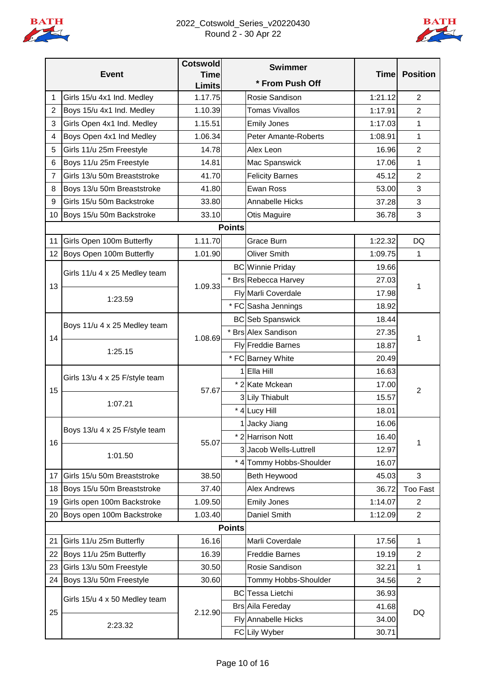

# 2022\_Cotswold\_Series\_v20220430 Round 2 - 30 Apr 22



|                |                                | <b>Cotswold</b>              |               | <b>Swimmer</b>              |             |                 |
|----------------|--------------------------------|------------------------------|---------------|-----------------------------|-------------|-----------------|
|                | <b>Event</b>                   | <b>Time</b><br><b>Limits</b> |               | * From Push Off             | <b>Time</b> | <b>Position</b> |
| 1              | Girls 15/u 4x1 Ind. Medley     | 1.17.75                      |               | Rosie Sandison              | 1:21.12     | $\overline{2}$  |
| $\overline{2}$ | Boys 15/u 4x1 Ind. Medley      | 1.10.39                      |               | <b>Tomas Vivallos</b>       | 1:17.91     | $\overline{2}$  |
| 3              | Girls Open 4x1 Ind. Medley     | 1.15.51                      |               | <b>Emily Jones</b>          | 1:17.03     | 1               |
| 4              | Boys Open 4x1 Ind Medley       | 1.06.34                      |               | <b>Peter Amante-Roberts</b> | 1:08.91     | 1               |
| 5              | Girls 11/u 25m Freestyle       | 14.78                        |               | Alex Leon                   | 16.96       | $\overline{2}$  |
| 6              | Boys 11/u 25m Freestyle        | 14.81                        |               | Mac Spanswick               | 17.06       | 1               |
| $\overline{7}$ | Girls 13/u 50m Breaststroke    | 41.70                        |               | <b>Felicity Barnes</b>      | 45.12       | $\overline{c}$  |
| 8              | Boys 13/u 50m Breaststroke     | 41.80                        |               | Ewan Ross                   | 53.00       | 3               |
| 9              | Girls 15/u 50m Backstroke      | 33.80                        |               | Annabelle Hicks             | 37.28       | 3               |
| 10             | Boys 15/u 50m Backstroke       | 33.10                        |               | Otis Maguire                | 36.78       | 3               |
|                |                                |                              | <b>Points</b> |                             |             |                 |
| 11             | Girls Open 100m Butterfly      | 1.11.70                      |               | Grace Burn                  | 1:22.32     | <b>DQ</b>       |
| 12             | Boys Open 100m Butterfly       | 1.01.90                      |               | <b>Oliver Smith</b>         | 1:09.75     | 1               |
|                | Girls 11/u 4 x 25 Medley team  |                              |               | <b>BC</b> Winnie Priday     | 19.66       |                 |
| 13             |                                | 1.09.33                      |               | * Brs Rebecca Harvey        | 27.03       | 1               |
|                | 1:23.59                        |                              |               | Fly Marli Coverdale         | 17.98       |                 |
|                |                                |                              |               | * FC Sasha Jennings         | 18.92       |                 |
| 14             | Boys 11/u 4 x 25 Medley team   |                              |               | <b>BC</b> Seb Spanswick     | 18.44       | 1               |
|                |                                | 1.08.69                      |               | * Brs Alex Sandison         | 27.35       |                 |
|                | 1:25.15                        |                              |               | <b>Fly</b> Freddie Barnes   | 18.87       |                 |
|                |                                |                              |               | * FC Barney White           | 20.49       |                 |
|                | Girls 13/u 4 x 25 F/style team |                              |               | 1 Ella Hill                 | 16.63       |                 |
| 15             |                                | 57.67                        |               | * 2 Kate Mckean             | 17.00       | $\overline{2}$  |
|                | 1:07.21                        |                              |               | 3 Lily Thiabult             | 15.57       |                 |
|                |                                |                              |               | * 4 Lucy Hill               | 18.01       |                 |
|                | Boys 13/u 4 x 25 F/style team  |                              |               | 1 Jacky Jiang               | 16.06       | 1               |
| 16             |                                | 55.07                        |               | * 2 Harrison Nott           | 16.40       |                 |
|                | 1:01.50                        |                              |               | 3 Jacob Wells-Luttrell      | 12.97       |                 |
|                |                                |                              |               | * 4 Tommy Hobbs-Shoulder    | 16.07       |                 |
| 17             | Girls 15/u 50m Breaststroke    | 38.50                        |               | Beth Heywood                | 45.03       | 3               |
| 18             | Boys 15/u 50m Breaststroke     | 37.40                        |               | <b>Alex Andrews</b>         | 36.72       | <b>Too Fast</b> |
| 19             | Girls open 100m Backstroke     | 1.09.50                      |               | <b>Emily Jones</b>          | 1:14.07     | 2               |
| 20             | Boys open 100m Backstroke      | 1.03.40                      |               | Daniel Smith                | 1:12.09     | $\overline{2}$  |
|                |                                |                              | <b>Points</b> |                             |             |                 |
| 21             | Girls 11/u 25m Butterfly       | 16.16                        |               | Marli Coverdale             | 17.56       | 1               |
| 22             | Boys 11/u 25m Butterfly        | 16.39                        |               | <b>Freddie Barnes</b>       | 19.19       | 2               |
| 23             | Girls 13/u 50m Freestyle       | 30.50                        |               | Rosie Sandison              | 32.21       | 1               |
| 24             | Boys 13/u 50m Freestyle        | 30.60                        |               | Tommy Hobbs-Shoulder        | 34.56       | $\overline{2}$  |
|                | Girls 15/u 4 x 50 Medley team  |                              |               | <b>BC</b> Tessa Lietchi     | 36.93       | DQ              |
| 25             |                                | 2.12.90                      |               | <b>Brs Aila Fereday</b>     | 41.68       |                 |
|                | 2:23.32                        |                              |               | Fly Annabelle Hicks         | 34.00       |                 |
|                |                                |                              |               | FC Lily Wyber               | 30.71       |                 |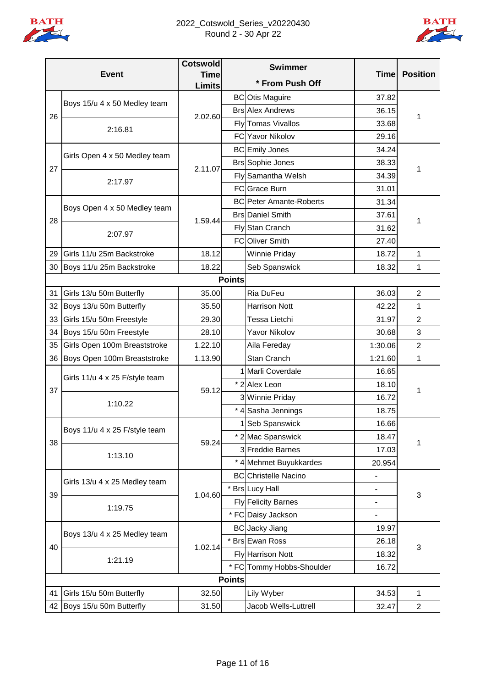

# 2022\_Cotswold\_Series\_v20220430 Round 2 - 30 Apr 22



|    |                                | <b>Cotswold</b> |               | <b>Swimmer</b>                 |                              |                 |
|----|--------------------------------|-----------------|---------------|--------------------------------|------------------------------|-----------------|
|    | <b>Event</b>                   | <b>Time</b>     |               | * From Push Off                | <b>Time</b>                  | <b>Position</b> |
|    |                                | <b>Limits</b>   |               | <b>BC</b> Otis Maguire         | 37.82                        |                 |
|    | Boys 15/u 4 x 50 Medley team   |                 |               | <b>Brs Alex Andrews</b>        | 36.15                        |                 |
| 26 |                                | 2.02.60         |               | Fly Tomas Vivallos             | 33.68                        | 1               |
|    | 2:16.81                        |                 |               | <b>FC</b> Yavor Nikolov        | 29.16                        |                 |
|    |                                |                 |               | <b>BC</b> Emily Jones          | 34.24                        |                 |
|    | Girls Open 4 x 50 Medley team  |                 |               | <b>Brs Sophie Jones</b>        | 38.33                        | 1               |
| 27 |                                | 2.11.07         |               | Fly Samantha Welsh             | 34.39                        |                 |
|    | 2:17.97                        |                 |               | FC Grace Burn                  | 31.01                        |                 |
|    |                                |                 |               | <b>BC</b> Peter Amante-Roberts | 31.34                        |                 |
|    | Boys Open 4 x 50 Medley team   |                 |               | <b>Brs</b> Daniel Smith        | 37.61                        |                 |
| 28 |                                | 1.59.44         |               | Fly Stan Cranch                | 31.62                        | 1               |
|    | 2:07.97                        |                 |               | FC Oliver Smith                |                              |                 |
|    | Girls 11/u 25m Backstroke      | 18.12           |               |                                | 27.40                        |                 |
| 29 |                                | 18.22           |               | <b>Winnie Priday</b>           | 18.72                        | 1               |
|    | 30 Boys 11/u 25m Backstroke    |                 | <b>Points</b> | Seb Spanswick                  | 18.32                        | 1               |
|    |                                |                 |               |                                |                              |                 |
| 31 | Girls 13/u 50m Butterfly       | 35.00           |               | Ria DuFeu                      | 36.03                        | 2               |
| 32 | Boys 13/u 50m Butterfly        | 35.50           |               | <b>Harrison Nott</b>           | 42.22                        | 1               |
| 33 | Girls 15/u 50m Freestyle       | 29.30           |               | Tessa Lietchi                  | 31.97                        | $\overline{c}$  |
| 34 | Boys 15/u 50m Freestyle        | 28.10           |               | Yavor Nikolov                  | 30.68                        | 3               |
| 35 | Girls Open 100m Breaststroke   | 1.22.10         |               | Aila Fereday                   | 1:30.06                      | $\overline{2}$  |
| 36 | Boys Open 100m Breaststroke    | 1.13.90         |               | Stan Cranch                    | 1:21.60                      | 1               |
|    | Girls 11/u 4 x 25 F/style team |                 |               | 1 Marli Coverdale              | 16.65                        |                 |
| 37 |                                | 59.12           |               | * 2 Alex Leon                  | 18.10                        | 1               |
|    | 1:10.22                        |                 |               | 3 Winnie Priday                | 16.72                        |                 |
|    |                                |                 |               | * 4 Sasha Jennings             | 18.75                        |                 |
|    | Boys 11/u 4 x 25 F/style team  |                 |               | 1 Seb Spanswick                | 16.66                        |                 |
| 38 |                                | 59.24           |               | * 2 Mac Spanswick              | 18.47                        | 1               |
|    | 1:13.10                        |                 |               | 3 Freddie Barnes               | 17.03                        |                 |
|    |                                |                 |               | * 4 Mehmet Buyukkardes         | 20.954                       |                 |
|    | Girls 13/u 4 x 25 Medley team  |                 |               | <b>BC</b> Christelle Nacino    | $\qquad \qquad \blacksquare$ |                 |
| 39 |                                | 1.04.60         |               | * Brs Lucy Hall                | $\qquad \qquad \blacksquare$ | 3               |
|    | 1:19.75                        |                 |               | Fly Felicity Barnes            |                              |                 |
|    |                                |                 |               | * FC Daisy Jackson             | $\overline{\phantom{0}}$     |                 |
|    | Boys 13/u 4 x 25 Medley team   |                 |               | <b>BC</b> Jacky Jiang          | 19.97                        |                 |
| 40 |                                | 1.02.14         |               | * Brs Ewan Ross                | 26.18                        | 3               |
|    | 1:21.19                        |                 |               | Fly Harrison Nott              | 18.32                        |                 |
|    |                                |                 | $*$ FC        | Tommy Hobbs-Shoulder           | 16.72                        |                 |
|    |                                |                 | <b>Points</b> |                                |                              |                 |
| 41 | Girls 15/u 50m Butterfly       | 32.50           |               | Lily Wyber                     | 34.53                        | 1               |
| 42 | Boys 15/u 50m Butterfly        | 31.50           |               | Jacob Wells-Luttrell           | 32.47                        | $\overline{a}$  |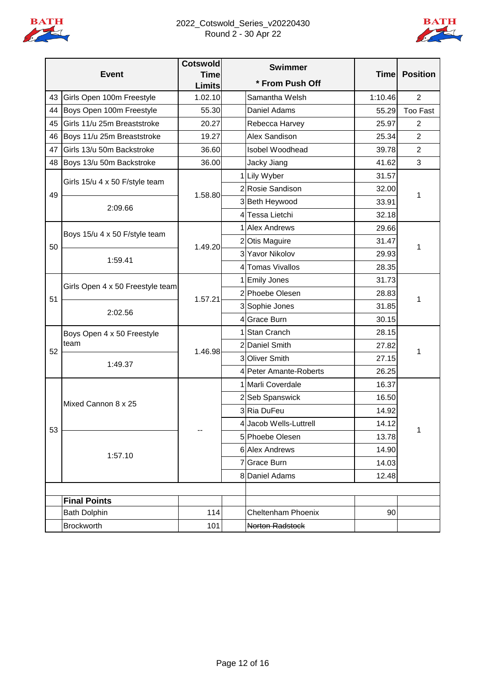

# 2022\_Cotswold\_Series\_v20220430 Round 2 - 30 Apr 22



|    |                                    | <b>Cotswold</b>              | <b>Swimmer</b>         |             |                 |
|----|------------------------------------|------------------------------|------------------------|-------------|-----------------|
|    | <b>Event</b>                       | <b>Time</b><br><b>Limits</b> | * From Push Off        | <b>Time</b> | <b>Position</b> |
| 43 | Girls Open 100m Freestyle          | 1.02.10                      | Samantha Welsh         | 1:10.46     | $\overline{2}$  |
| 44 | Boys Open 100m Freestyle           | 55.30                        | Daniel Adams           | 55.29       | Too Fast        |
| 45 | Girls 11/u 25m Breaststroke        | 20.27                        | Rebecca Harvey         | 25.97       | 2               |
| 46 | Boys 11/u 25m Breaststroke         | 19.27                        | Alex Sandison          | 25.34       | $\overline{2}$  |
| 47 | Girls 13/u 50m Backstroke          | 36.60                        | Isobel Woodhead        | 39.78       | $\overline{2}$  |
| 48 | Boys 13/u 50m Backstroke           | 36.00                        | Jacky Jiang            | 41.62       | 3               |
|    |                                    |                              | 1 Lily Wyber           | 31.57       |                 |
| 49 | Girls 15/u 4 x 50 F/style team     | 1.58.80                      | 2 Rosie Sandison       | 32.00       | 1               |
|    | 2:09.66                            |                              | 3 Beth Heywood         | 33.91       |                 |
|    |                                    |                              | 4 Tessa Lietchi        | 32.18       |                 |
|    | Boys 15/u 4 x 50 F/style team      |                              | 1 Alex Andrews         | 29.66       |                 |
| 50 |                                    | 1.49.20                      | 2 Otis Maguire         | 31.47       | 1               |
|    | 1:59.41                            |                              | 3 Yavor Nikolov        | 29.93       |                 |
|    |                                    |                              | 4 Tomas Vivallos       | 28.35       |                 |
|    | Girls Open 4 x 50 Freestyle team   |                              | 1 Emily Jones          | 31.73       |                 |
| 51 |                                    | 1.57.21                      | 2 Phoebe Olesen        | 28.83       | 1               |
|    | 2:02.56                            |                              | 3 Sophie Jones         | 31.85       |                 |
|    |                                    |                              | 4 Grace Burn           | 30.15       |                 |
|    | Boys Open 4 x 50 Freestyle<br>team | 1.46.98                      | <b>Stan Cranch</b>     | 28.15       | 1               |
| 52 |                                    |                              | 2 Daniel Smith         | 27.82       |                 |
|    | 1:49.37                            |                              | 3 Oliver Smith         | 27.15       |                 |
|    |                                    |                              | 4 Peter Amante-Roberts | 26.25       |                 |
|    |                                    |                              | 1 Marli Coverdale      | 16.37       |                 |
|    | Mixed Cannon 8 x 25                |                              | 2 Seb Spanswick        | 16.50       |                 |
|    |                                    |                              | 3Ria DuFeu             | 14.92       |                 |
| 53 |                                    |                              | 4 Jacob Wells-Luttrell | 14.12       | 1               |
|    |                                    |                              | 5 Phoebe Olesen        | 13.78       |                 |
|    | 1:57.10                            |                              | <b>6 Alex Andrews</b>  | 14.90       |                 |
|    |                                    |                              | 7 Grace Burn           | 14.03       |                 |
|    |                                    |                              | 8 Daniel Adams         | 12.48       |                 |
|    |                                    |                              |                        |             |                 |
|    | <b>Final Points</b>                |                              |                        |             |                 |
|    | <b>Bath Dolphin</b>                | 114                          | Cheltenham Phoenix     | 90          |                 |
|    | Brockworth                         | 101                          | Norton Radstock        |             |                 |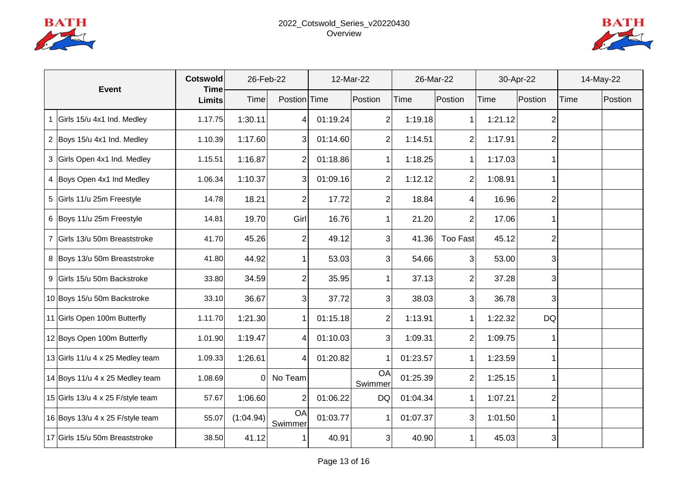



| <b>Event</b> |                                   | <b>Cotswold</b><br><b>Time</b> | 26-Feb-22 |                | 12-Mar-22 |                | 26-Mar-22 |                 | 30-Apr-22   |                | 14-May-22 |         |
|--------------|-----------------------------------|--------------------------------|-----------|----------------|-----------|----------------|-----------|-----------------|-------------|----------------|-----------|---------|
|              |                                   | Limits                         | Time      | Postion Time   |           | Postion        | Time      | Postion         | <b>Time</b> | Postion        | Time      | Postion |
| $\mathbf{1}$ | Girls 15/u 4x1 Ind. Medley        | 1.17.75                        | 1:30.11   | 4              | 01:19.24  | 2              | 1:19.18   |                 | 1:21.12     | 2              |           |         |
|              | 2 Boys 15/u 4x1 Ind. Medley       | 1.10.39                        | 1:17.60   | 3              | 01:14.60  | $\mathsf{2}$   | 1:14.51   | $\overline{2}$  | 1:17.91     | 2              |           |         |
|              | 3 Girls Open 4x1 Ind. Medley      | 1.15.51                        | 1:16.87   | $\overline{2}$ | 01:18.86  | 1 <sup>1</sup> | 1:18.25   |                 | 1:17.03     |                |           |         |
|              | 4 Boys Open 4x1 Ind Medley        | 1.06.34                        | 1:10.37   | 3              | 01:09.16  | $\overline{2}$ | 1:12.12   | $\overline{2}$  | 1:08.91     |                |           |         |
|              | 5 Girls 11/u 25m Freestyle        | 14.78                          | 18.21     | $\overline{2}$ | 17.72     | $\overline{2}$ | 18.84     | 4               | 16.96       | $\overline{2}$ |           |         |
|              | 6 Boys 11/u 25m Freestyle         | 14.81                          | 19.70     | Girl           | 16.76     |                | 21.20     | 2               | 17.06       |                |           |         |
|              | 7 Girls 13/u 50m Breaststroke     | 41.70                          | 45.26     | $\overline{2}$ | 49.12     | 3              | 41.36     | <b>Too Fast</b> | 45.12       | $\overline{2}$ |           |         |
|              | 8 Boys 13/u 50m Breaststroke      | 41.80                          | 44.92     | $\mathbf{1}$   | 53.03     | $\overline{3}$ | 54.66     | 3               | 53.00       | 3              |           |         |
|              | 9 Girls 15/u 50m Backstroke       | 33.80                          | 34.59     | $\overline{2}$ | 35.95     |                | 37.13     | 2               | 37.28       | $\overline{3}$ |           |         |
|              | 10 Boys 15/u 50m Backstroke       | 33.10                          | 36.67     | 3              | 37.72     | 3              | 38.03     | 3               | 36.78       | 3              |           |         |
|              | 11 Girls Open 100m Butterfly      | 1.11.70                        | 1:21.30   | 1              | 01:15.18  | 2              | 1:13.91   |                 | 1:22.32     | DQ             |           |         |
|              | 12 Boys Open 100m Butterfly       | 1.01.90                        | 1:19.47   | 4              | 01:10.03  | 3              | 1:09.31   | 2               | 1:09.75     |                |           |         |
|              | 13 Girls 11/u 4 x 25 Medley team  | 1.09.33                        | 1:26.61   | 4              | 01:20.82  |                | 01:23.57  |                 | 1:23.59     |                |           |         |
|              | 14 Boys 11/u 4 x 25 Medley team   | 1.08.69                        | 0         | No Team        |           | OA<br>Swimmer  | 01:25.39  | $\overline{2}$  | 1:25.15     |                |           |         |
|              | 15 Girls 13/u 4 x 25 F/style team | 57.67                          | 1:06.60   | 2              | 01:06.22  | DQ             | 01:04.34  |                 | 1:07.21     | 2              |           |         |
|              | 16 Boys 13/u 4 x 25 F/style team  | 55.07                          | (1:04.94) | OA<br>Swimmer  | 01:03.77  | 1              | 01:07.37  | 3               | 1:01.50     |                |           |         |
|              | 17 Girls 15/u 50m Breaststroke    | 38.50                          | 41.12     | 1              | 40.91     | 3              | 40.90     |                 | 45.03       | 3              |           |         |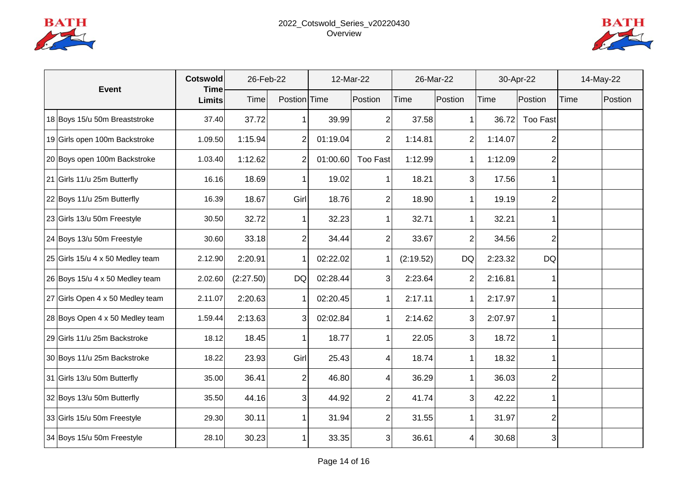



| <b>Event</b> |                                  | <b>Cotswold</b><br><b>Time</b> |           | 26-Feb-22      |          | 12-Mar-22       |           | 26-Mar-22      |             | 30-Apr-22       |      | 14-May-22 |  |
|--------------|----------------------------------|--------------------------------|-----------|----------------|----------|-----------------|-----------|----------------|-------------|-----------------|------|-----------|--|
|              |                                  | <b>Limits</b>                  | Time      | Postion Time   |          | Postion         | Time      | Postion        | <b>Time</b> | Postion         | Time | Postion   |  |
|              | 18 Boys 15/u 50m Breaststroke    | 37.40                          | 37.72     | 1              | 39.99    | 2               | 37.58     |                | 36.72       | <b>Too Fast</b> |      |           |  |
|              | 19 Girls open 100m Backstroke    | 1.09.50                        | 1:15.94   | $\overline{2}$ | 01:19.04 | $\overline{2}$  | 1:14.81   | $\overline{2}$ | 1:14.07     | 2               |      |           |  |
|              | 20 Boys open 100m Backstroke     | 1.03.40                        | 1:12.62   | $\overline{2}$ | 01:00.60 | <b>Too Fast</b> | 1:12.99   | $\mathbf 1$    | 1:12.09     |                 |      |           |  |
|              | 21 Girls 11/u 25m Butterfly      | 16.16                          | 18.69     | $\mathbf{1}$   | 19.02    |                 | 18.21     | 3              | 17.56       |                 |      |           |  |
|              | 22 Boys 11/u 25m Butterfly       | 16.39                          | 18.67     | Girl           | 18.76    | 2               | 18.90     | 1              | 19.19       | 2               |      |           |  |
|              | 23 Girls 13/u 50m Freestyle      | 30.50                          | 32.72     | $\mathbf{1}$   | 32.23    |                 | 32.71     | 1              | 32.21       |                 |      |           |  |
|              | 24 Boys 13/u 50m Freestyle       | 30.60                          | 33.18     | $\overline{2}$ | 34.44    | 2               | 33.67     | 2              | 34.56       | 2               |      |           |  |
|              | 25 Girls 15/u 4 x 50 Medley team | 2.12.90                        | 2:20.91   | $\mathbf{1}$   | 02:22.02 |                 | (2:19.52) | <b>DQ</b>      | 2:23.32     | <b>DQ</b>       |      |           |  |
|              | 26 Boys 15/u 4 x 50 Medley team  | 2.02.60                        | (2:27.50) | <b>DQ</b>      | 02:28.44 | 3               | 2:23.64   | $\overline{2}$ | 2:16.81     |                 |      |           |  |
|              | 27 Girls Open 4 x 50 Medley team | 2.11.07                        | 2:20.63   | $\mathbf 1$    | 02:20.45 |                 | 2:17.11   |                | 2:17.97     |                 |      |           |  |
|              | 28 Boys Open 4 x 50 Medley team  | 1.59.44                        | 2:13.63   | 3              | 02:02.84 |                 | 2:14.62   | 3              | 2:07.97     |                 |      |           |  |
|              | 29 Girls 11/u 25m Backstroke     | 18.12                          | 18.45     | 1              | 18.77    |                 | 22.05     | 3              | 18.72       |                 |      |           |  |
|              | 30 Boys 11/u 25m Backstroke      | 18.22                          | 23.93     | Girl           | 25.43    | 4               | 18.74     |                | 18.32       |                 |      |           |  |
|              | 31 Girls 13/u 50m Butterfly      | 35.00                          | 36.41     | $\overline{2}$ | 46.80    | Δ               | 36.29     |                | 36.03       | 2               |      |           |  |
|              | 32 Boys 13/u 50m Butterfly       | 35.50                          | 44.16     | 3 <sup>1</sup> | 44.92    | 2               | 41.74     | 3              | 42.22       |                 |      |           |  |
|              | 33 Girls 15/u 50m Freestyle      | 29.30                          | 30.11     | 1              | 31.94    | $\overline{2}$  | 31.55     |                | 31.97       | 2               |      |           |  |
|              | 34 Boys 15/u 50m Freestyle       | 28.10                          | 30.23     | 1              | 33.35    | 3               | 36.61     | Δ              | 30.68       | 3               |      |           |  |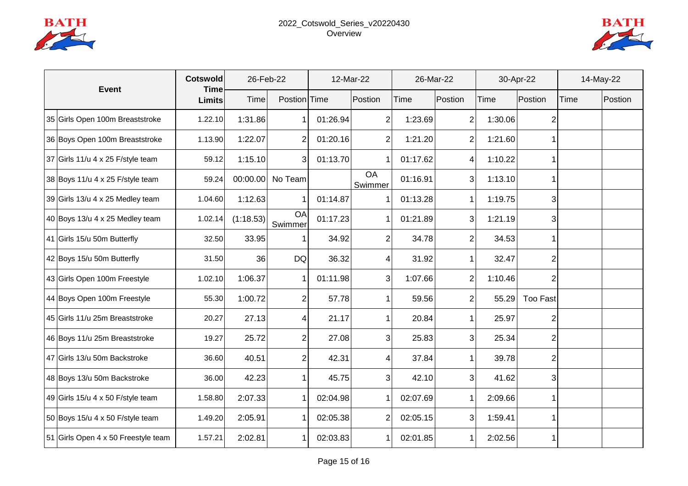



| <b>Event</b>                        | <b>Cotswold</b><br><b>Time</b> |           | 26-Feb-22            | 12-Mar-22 |               | 26-Mar-22 |                | 30-Apr-22 |                 | 14-May-22 |         |
|-------------------------------------|--------------------------------|-----------|----------------------|-----------|---------------|-----------|----------------|-----------|-----------------|-----------|---------|
|                                     | <b>Limits</b>                  | Time      | Postion Time         |           | Postion       | Time      | Postion        | Time      | Postion         | Time      | Postion |
| 35 Girls Open 100m Breaststroke     | 1.22.10                        | 1:31.86   | 1                    | 01:26.94  | 2             | 1:23.69   | 2              | 1:30.06   | 2               |           |         |
| 36 Boys Open 100m Breaststroke      | 1.13.90                        | 1:22.07   | $\overline{2}$       | 01:20.16  | 2             | 1:21.20   | $\overline{2}$ | 1:21.60   |                 |           |         |
| 37 Girls $11/u$ 4 x 25 F/style team | 59.12                          | 1:15.10   | 3 <sub>l</sub>       | 01:13.70  |               | 01:17.62  | 4              | 1:10.22   |                 |           |         |
| 38 Boys 11/u 4 x 25 F/style team    | 59.24                          |           | 00:00.00 No Team     |           | OA<br>Swimmer | 01:16.91  | $\overline{3}$ | 1:13.10   |                 |           |         |
| 39 Girls $13/u$ 4 x 25 Medley team  | 1.04.60                        | 1:12.63   | $\mathbf 1$          | 01:14.87  |               | 01:13.28  | 1 <sup>1</sup> | 1:19.75   | 3               |           |         |
| 40 Boys 13/u 4 x 25 Medley team     | 1.02.14                        | (1:18.53) | <b>OA</b><br>Swimmer | 01:17.23  |               | 01:21.89  | $\overline{3}$ | 1:21.19   | 3               |           |         |
| 41 Girls 15/u 50m Butterfly         | 32.50                          | 33.95     | 1                    | 34.92     | 2             | 34.78     | 2              | 34.53     |                 |           |         |
| 42 Boys 15/u 50m Butterfly          | 31.50                          | 36        | <b>DQ</b>            | 36.32     | 4             | 31.92     | 1              | 32.47     | $\overline{2}$  |           |         |
| 43 Girls Open 100m Freestyle        | 1.02.10                        | 1:06.37   | $\mathbf{1}$         | 01:11.98  | 3             | 1:07.66   | $\overline{2}$ | 1:10.46   | 2               |           |         |
| 44 Boys Open 100m Freestyle         | 55.30                          | 1:00.72   | $\overline{2}$       | 57.78     |               | 59.56     | 2              | 55.29     | <b>Too Fast</b> |           |         |
| 45 Girls 11/u 25m Breaststroke      | 20.27                          | 27.13     | 4                    | 21.17     |               | 20.84     | 1              | 25.97     | 2               |           |         |
| 46 Boys 11/u 25m Breaststroke       | 19.27                          | 25.72     | $\overline{2}$       | 27.08     | 3             | 25.83     | 3              | 25.34     | 2               |           |         |
| 47 Girls 13/u 50m Backstroke        | 36.60                          | 40.51     | $\overline{2}$       | 42.31     | 4             | 37.84     |                | 39.78     | 2               |           |         |
| 48 Boys 13/u 50m Backstroke         | 36.00                          | 42.23     | $\mathbf{1}$         | 45.75     | 3             | 42.10     | 3              | 41.62     | 3               |           |         |
| 49 Girls $15/u$ 4 x 50 F/style team | 1.58.80                        | 2:07.33   | $\mathbf 1$          | 02:04.98  |               | 02:07.69  | 1              | 2:09.66   |                 |           |         |
| 50 Boys 15/u 4 x 50 F/style team    | 1.49.20                        | 2:05.91   | $\mathbf 1$          | 02:05.38  | 2             | 02:05.15  | 3              | 1:59.41   | 1               |           |         |
| 51 Girls Open 4 x 50 Freestyle team | 1.57.21                        | 2:02.81   | $\mathbf{1}$         | 02:03.83  |               | 02:01.85  | 1              | 2:02.56   | 1               |           |         |